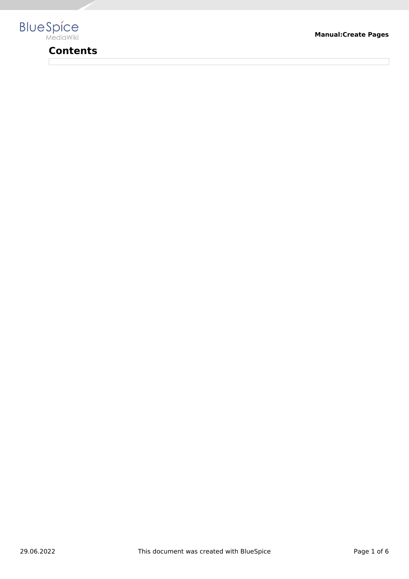

# **Contents**

**Manual:Create Pages**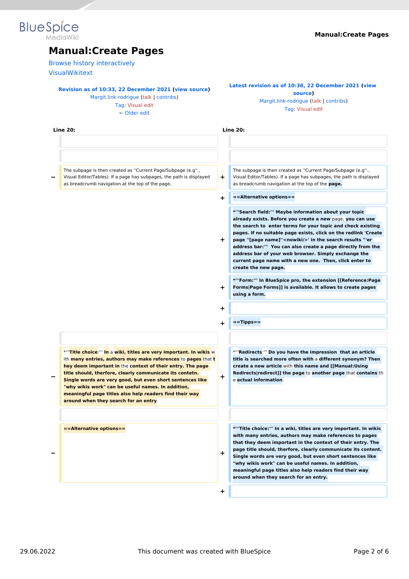# **Blue** Spice

## **Manual:Create Pages**

[Browse history interactively](https://en.wiki.bluespice.com)

[VisualWikitext](https://en.wiki.bluespice.com)

#### **[Revision as of 10:33, 22 December 2021](https://en.wiki.bluespice.com/w/index.php?title=Manual:Create_Pages&oldid=1672) ([view source\)](https://en.wiki.bluespice.com/w/index.php?title=Manual:Create_Pages&action=edit&oldid=1672)**

[Margit.link-rodrigue](https://en.wiki.bluespice.com/wiki/User:Margit.link-rodrigue) ([talk](https://en.wiki.bluespice.com/w/index.php?title=User_talk:Margit.link-rodrigue&action=view) | [contribs](https://en.wiki.bluespice.com/wiki/Special:Contributions/Margit.link-rodrigue)) [Tag](https://en.wiki.bluespice.com/wiki/Special:Tags): [Visual edit](https://en.wiki.bluespice.com/w/index.php?title=Site:VisualEditor&action=view)

[← Older edit](https://en.wiki.bluespice.com/w/index.php?title=Manual:Create_Pages&diff=prev&oldid=1672)

#### **[Latest revision as of 10:36, 22 December 2021](https://en.wiki.bluespice.com/w/index.php?title=Manual:Create_Pages&oldid=1673) [\(view](https://en.wiki.bluespice.com/w/index.php?title=Manual:Create_Pages&action=edit)  [source](https://en.wiki.bluespice.com/w/index.php?title=Manual:Create_Pages&action=edit))** [Margit.link-rodrigue](https://en.wiki.bluespice.com/wiki/User:Margit.link-rodrigue) [\(talk](https://en.wiki.bluespice.com/w/index.php?title=User_talk:Margit.link-rodrigue&action=view) | [contribs\)](https://en.wiki.bluespice.com/wiki/Special:Contributions/Margit.link-rodrigue)

[Tag:](https://en.wiki.bluespice.com/wiki/Special:Tags) [Visual edit](https://en.wiki.bluespice.com/w/index.php?title=Site:VisualEditor&action=view)

| <b>Line 20:</b>                                                                                                                                                                                                                                                                                                                                                                                                                                                                                           |    | <b>Line 20:</b>                                                                                                                                                                                                                                                                                                                                                                                                                                                                                                                    |
|-----------------------------------------------------------------------------------------------------------------------------------------------------------------------------------------------------------------------------------------------------------------------------------------------------------------------------------------------------------------------------------------------------------------------------------------------------------------------------------------------------------|----|------------------------------------------------------------------------------------------------------------------------------------------------------------------------------------------------------------------------------------------------------------------------------------------------------------------------------------------------------------------------------------------------------------------------------------------------------------------------------------------------------------------------------------|
|                                                                                                                                                                                                                                                                                                                                                                                                                                                                                                           |    |                                                                                                                                                                                                                                                                                                                                                                                                                                                                                                                                    |
| The subpage is then created as "Current Page/Subpage (e.g".,<br>Visual Editor/Tables). If a page has subpages, the path is displayed<br>as breadcrumb navigation at the top of the page,                                                                                                                                                                                                                                                                                                                  | ÷  | The subpage is then created as "Current Page/Subpage (e.g".,<br>Visual Editor/Tables). If a page has subpages, the path is displayed<br>as breadcrumb navigation at the top of the page.                                                                                                                                                                                                                                                                                                                                           |
|                                                                                                                                                                                                                                                                                                                                                                                                                                                                                                           | ÷  | ==Alternative options==                                                                                                                                                                                                                                                                                                                                                                                                                                                                                                            |
|                                                                                                                                                                                                                                                                                                                                                                                                                                                                                                           | ÷. | *"'Search field:"' Maybe information about your topic<br>already exists. Before you create a new page, you can use<br>the search to enter terms for your topic and check existing<br>pages. If no suitable page exists, click on the redlink 'Create<br>page "[page name]" <nowiki></nowiki> ' in the search results "'er<br>address bar:"" You can also create a page directly from the<br>address bar of your web browser. Simply exchange the<br>current page name with a new one. Then, click enter to<br>create the new page. |
|                                                                                                                                                                                                                                                                                                                                                                                                                                                                                                           | ÷. | *"'Form:"' In BlueSpice pro, the extension [[Reference:Page<br>Forms Page Forms]] is available. It allows to create pages<br>using a form.                                                                                                                                                                                                                                                                                                                                                                                         |
|                                                                                                                                                                                                                                                                                                                                                                                                                                                                                                           | +  |                                                                                                                                                                                                                                                                                                                                                                                                                                                                                                                                    |
|                                                                                                                                                                                                                                                                                                                                                                                                                                                                                                           | +  | $=$ =Tipps==                                                                                                                                                                                                                                                                                                                                                                                                                                                                                                                       |
| *"Title choice:"" In a wiki, titles are very important. In wikis w<br>ith <b>many entries, authors may make references</b> to <b>pages</b> that <b>t</b><br>hey deem important in the context of their entry. The page<br>title should, therfore, clearly communicate its contetn.<br>Single words are very good, but even short sentences like<br>"why wikis work" can be useful names. In addition,<br>meaningful page titles also help readers find their way<br>around when they search for an entry. | +  | *""Redirects:"" Do you have the impression that an article<br>title is searched more often with a different synonym? Then<br>create a new article with this name and [[Manual:Using<br>Redirects redirect]] the page to another page that contains the<br>e actual information.                                                                                                                                                                                                                                                    |
| ==Alternative options==                                                                                                                                                                                                                                                                                                                                                                                                                                                                                   | ÷  | *"Title choice:"' In a wiki, titles are very important. In wikis<br>with many entries, authors may make references to pages<br>that they deem important in the context of their entry. The<br>page title should, therfore, clearly communicate its content.<br>Single words are very good, but even short sentences like<br>"why wikis work" can be useful names. In addition,<br>meaningful page titles also help readers find their way<br>around when they search for an entry.                                                 |
|                                                                                                                                                                                                                                                                                                                                                                                                                                                                                                           | ٠  |                                                                                                                                                                                                                                                                                                                                                                                                                                                                                                                                    |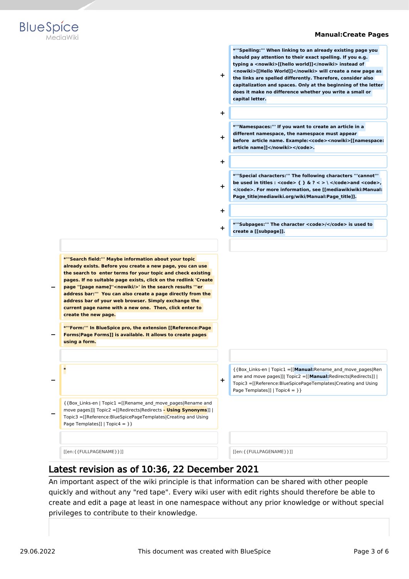

**\*'''Spelling:''' When linking to an already existing page you should pay attention to their exact spelling. If you e.g. typing a <nowiki>[[hello world]]</nowiki> instead of <nowiki>[[Hello World]]</nowiki> will create a new page as the links are spelled differently. Therefore, consider also capitalization and spaces. Only at the beginning of the letter does it make no difference whether you write a small or** 



**+ + \*'''Namespaces:''' If you want to create an article in a different namespace, the namespace must appear before article name. Example:<code><nowiki>[[namespace: article name]]</nowiki></code>. + + \*'''Special characters:''' The following characters '''cannot'''**  be used in titles :  $<$ code>  $\{ \}$ & $?$  < > \  $<$ /code>and  $<$ code>, **</code>. For more information, see [[mediawikiwiki:Manual: Page\_title|mediawiki.org/wiki/Manual:Page\_title]]. + + \*'''Subpages:''' The character <code>/</code> is used to create a [[subpage]]. − \*'''Search field:''' Maybe information about your topic already exists. Before you create a new page, you can use the search to enter terms for your topic and check existing pages. If no suitable page exists, click on the redlink 'Create page ''[page name]''<nowiki/>' in the search results '''er address bar:''' You can also create a page directly from the address bar of your web browser. Simply exchange the current page name with a new one. Then, click enter to create the new page. − \*'''Form:''' In BlueSpice pro, the extension [[Reference:Page Forms|Page Forms]] is available. It allows to create pages using a form. − \* +** {{Box\_Links-en | Topic1 =[[**Manual:**Rename\_and\_move\_pages|Ren ame and move pages]]| Topic2 =[[**Manual:**Redirects|Redirects]] | Topic3 =[[Reference:BlueSpicePageTemplates|Creating and Using Page Templates]] |  $Topic4 = \}$ **−** {{Box\_Links-en | Topic1 =[[Rename\_and\_move\_pages|Rename and move pages]]| Topic2 =[[Redirects|Redirects **- Using Synonyms**]] | Topic3 =[[Reference:BlueSpicePageTemplates|Creating and Using Page Templates]] | Topic4 = } } [[en:{{FULLPAGENAME}}]] [[en:{{FULLPAGENAME}}]]

**+**

**capital letter.**

## Latest revision as of 10:36, 22 December 2021

An important aspect of the wiki principle is that information can be shared with other people quickly and without any "red tape". Every wiki user with edit rights should therefore be able to create and edit a page at least in one namespace without any prior knowledge or without special privileges to contribute to their knowledge.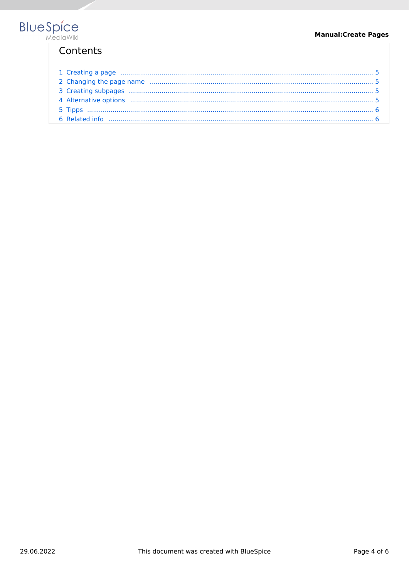# Contents

| 1 Creating a page manufactured and the contract of the state of the state of the state of the state of the state of the state of the state of the state of the state of the state of the state of the state of the state of th |  |
|--------------------------------------------------------------------------------------------------------------------------------------------------------------------------------------------------------------------------------|--|
|                                                                                                                                                                                                                                |  |
|                                                                                                                                                                                                                                |  |
|                                                                                                                                                                                                                                |  |
|                                                                                                                                                                                                                                |  |
|                                                                                                                                                                                                                                |  |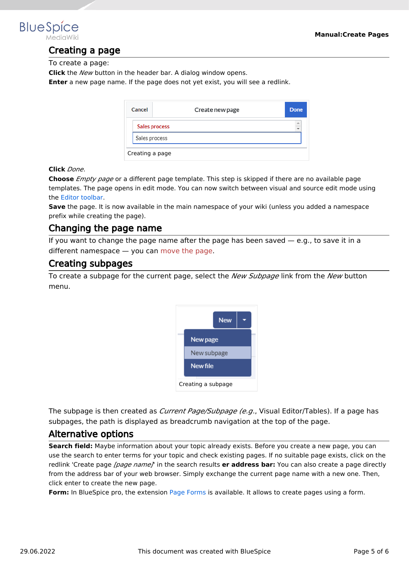<span id="page-4-0"></span>

### Creating a page

To create a page:

**Click** the *New* button in the header bar. A dialog window opens.

**Enter** a new page name. If the page does not yet exist, you will see a redlink.

|                 | Cancel        | Create new page | Done                 |  |  |  |  |
|-----------------|---------------|-----------------|----------------------|--|--|--|--|
|                 |               | Sales process   | $\frac{1}{\sqrt{2}}$ |  |  |  |  |
|                 | Sales process |                 |                      |  |  |  |  |
| Creating a page |               |                 |                      |  |  |  |  |

#### **Click** *Done*.

**Choose** *Empty page* or a different page template. This step is skipped if there are no available page templates. The page opens in edit mode. You can now switch between visual and source edit mode using the [Editor toolbar.](https://en.wiki.bluespice.com/wiki/Manual:Extension/VisualEditor)

**Save** the page. It is now available in the main namespace of your wiki (unless you added a namespace prefix while creating the page).

#### <span id="page-4-1"></span>Changing the page name

If you want to change the page name after the page has been saved  $-$  e.g., to save it in a different namespace — you can [move the page](https://en.wiki.bluespice.com/w/index.php?title=Manual:Rename_and_move_a_page&action=view).

#### <span id="page-4-2"></span>Creating subpages

To create a subpage for the current page, select the *New Subpage* link from the *New* button menu.



The subpage is then created as *Current Page/Subpage (e.g*., Visual Editor/Tables). If a page has subpages, the path is displayed as breadcrumb navigation at the top of the page.

#### <span id="page-4-3"></span>Alternative options

**Search field:** Maybe information about your topic already exists. Before you create a new page, you can use the search to enter terms for your topic and check existing pages. If no suitable page exists, click on the redlink 'Create page *[page name]*' in the search results **er address bar:** You can also create a page directly from the address bar of your web browser. Simply exchange the current page name with a new one. Then, click enter to create the new page.

**Form:** In BlueSpice pro, the extension [Page Forms](https://en.wiki.bluespice.com/wiki/Reference:Page_Forms) is available. It allows to create pages using a form.